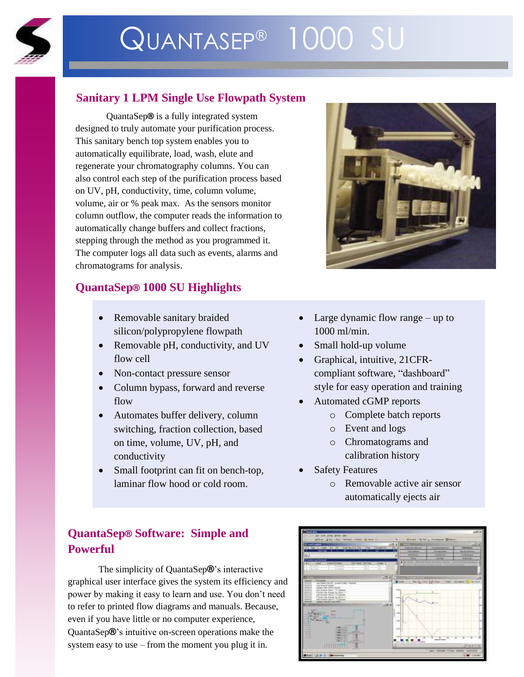

# QUANTASEP® 1000 SU

## **Sanitary 1 LPM Single Use Flowpath System**

QuantaSep**®** is a fully integrated system designed to truly automate your purification process. This sanitary bench top system enables you to automatically equilibrate, load, wash, elute and regenerate your chromatography columns. You can also control each step of the purification process based on UV, pH, conductivity, time, column volume, volume, air or % peak max. As the sensors monitor column outflow, the computer reads the information to automatically change buffers and collect fractions, stepping through the method as you programmed it. The computer logs all data such as events, alarms and chromatograms for analysis.

## **QuantaSep® 1000 SU Highlights**

- Removable sanitary braided silicon/polypropylene flowpath
- Removable pH, conductivity, and UV flow cell
- Non-contact pressure sensor
- Column bypass, forward and reverse flow
- Automates buffer delivery, column switching, fraction collection, based on time, volume, UV, pH, and conductivity
- Small footprint can fit on bench-top, laminar flow hood or cold room.

# **QuantaSep® Software: Simple and Powerful**

The simplicity of QuantaSep**®**'s interactive graphical user interface gives the system its efficiency and power by making it easy to learn and use. You don't need to refer to printed flow diagrams and manuals. Because, even if you have little or no computer experience, QuantaSep**®**'s intuitive on-screen operations make the system easy to use – from the moment you plug it in.



- Large dynamic flow range up to 1000 ml/min.
- Small hold-up volume
- Graphical, intuitive, 21CFRcompliant software, "dashboard" style for easy operation and training
- Automated cGMP reports
	- o Complete batch reports
	- o Event and logs
	- o Chromatograms and calibration history
- Safety Features
	- o Removable active air sensor automatically ejects air